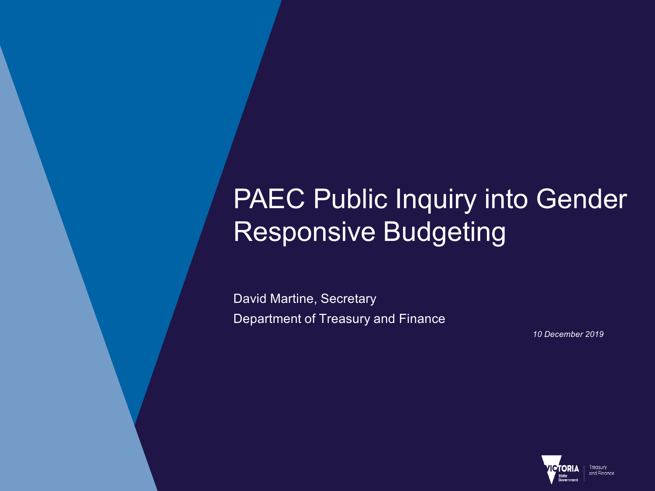# PAEC Public Inquiry into Gender Responsive Budgeting

David Martine, Secretary Department of Treasury and Finance

*10 December 2019*

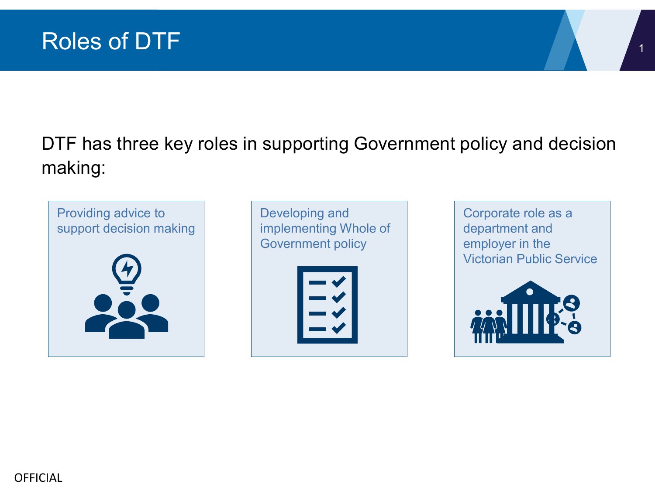

## DTF has three key roles in supporting Government policy and decision making:



Developing and implementing Whole of Government policy

Corporate role as a department and employer in the Victorian Public Service

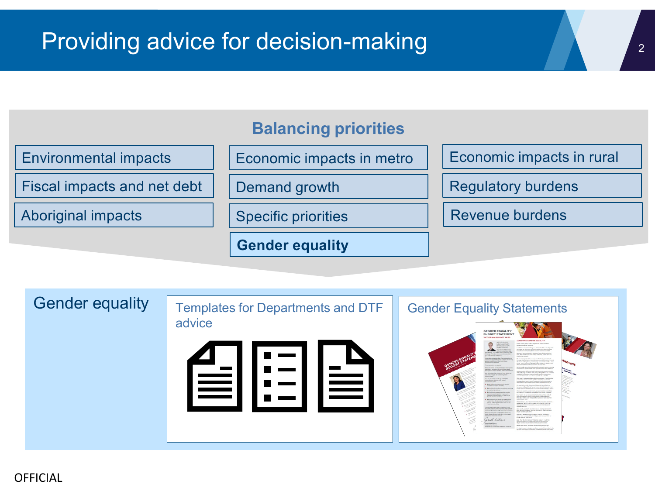



#### OFFICIAL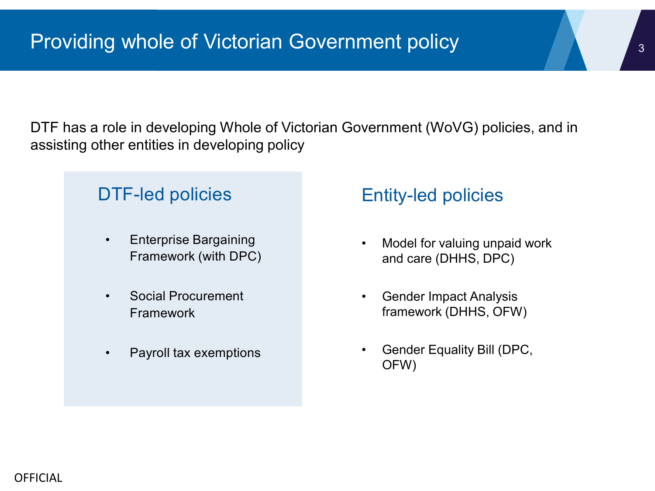DTF has a role in developing Whole of Victorian Government (WoVG) policies, and in assisting other entities in developing policy

### DTF-led policies

- Enterprise Bargaining Framework (with DPC)
- Social Procurement Framework
- Payroll tax exemptions

### Entity-led policies

- Model for valuing unpaid work and care (DHHS, DPC)
- Gender Impact Analysis framework (DHHS, OFW)
- Gender Equality Bill (DPC, OFW)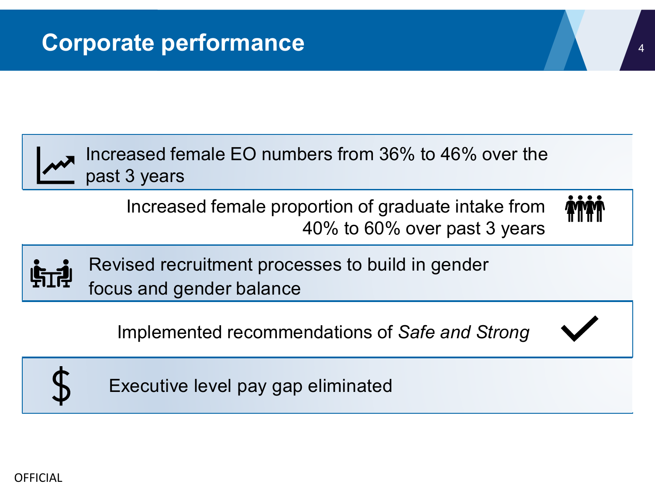

Increased female EO numbers from 36% to 46% over the past 3 years

Increased female proportion of graduate intake from 40% to 60% over past 3 years





Revised recruitment processes to build in gender focus and gender balance

Implemented recommendations of *Safe and Strong*





Executive level pay gap eliminated